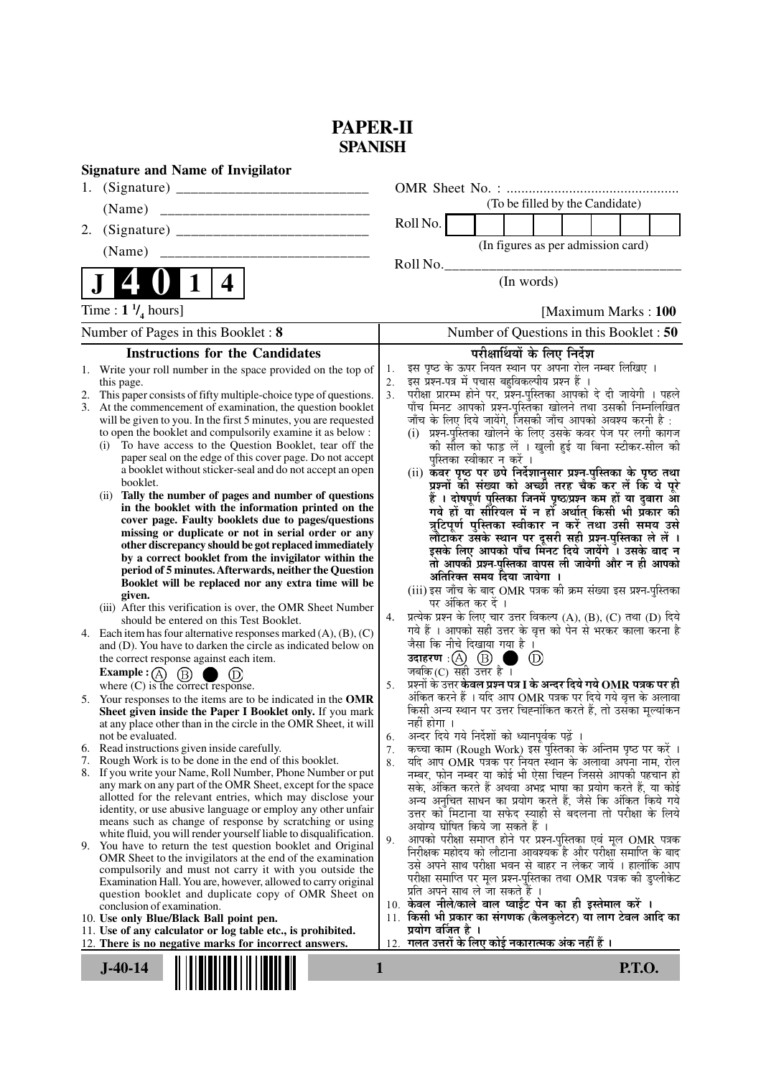# **PAPER-II SPANISH**

| <b>Signature and Name of Invigilator</b>                                                                                             |                                                                                                                                    |  |  |  |  |
|--------------------------------------------------------------------------------------------------------------------------------------|------------------------------------------------------------------------------------------------------------------------------------|--|--|--|--|
|                                                                                                                                      |                                                                                                                                    |  |  |  |  |
| (Name)                                                                                                                               | (To be filled by the Candidate)                                                                                                    |  |  |  |  |
| 2.                                                                                                                                   | Roll No.                                                                                                                           |  |  |  |  |
|                                                                                                                                      | (In figures as per admission card)                                                                                                 |  |  |  |  |
|                                                                                                                                      | Roll No.                                                                                                                           |  |  |  |  |
| $\mathbf 1$<br>4                                                                                                                     | (In words)                                                                                                                         |  |  |  |  |
| Time : $1 \frac{1}{4}$ hours]                                                                                                        | [Maximum Marks: 100]                                                                                                               |  |  |  |  |
| Number of Pages in this Booklet: 8                                                                                                   | Number of Questions in this Booklet: 50                                                                                            |  |  |  |  |
| <b>Instructions for the Candidates</b>                                                                                               | परीक्षार्थियों के लिए निर्देश                                                                                                      |  |  |  |  |
| 1. Write your roll number in the space provided on the top of                                                                        | इस पृष्ठ के ऊपर नियत स्थान पर अपना रोल नम्बर लिखिए ।<br>1.                                                                         |  |  |  |  |
| this page.                                                                                                                           | इस प्रश्न-पत्र में पचास बहुविकल्पीय प्रश्न हैं ।<br>2.<br>परीक्षा प्रारम्भ होने पर, प्रश्न-पुस्तिका आपको दे दी जायेगी । पहले<br>3. |  |  |  |  |
| This paper consists of fifty multiple-choice type of questions.<br>2.<br>3. At the commencement of examination, the question booklet | पाँच मिनट आपको प्रश्न-पुस्तिका खोलने तथा उसकी निम्नलिखित                                                                           |  |  |  |  |
| will be given to you. In the first 5 minutes, you are requested                                                                      | जाँच के लिए दिये जायेंगे, जिसकी जाँच आपको अवश्य करनी है :                                                                          |  |  |  |  |
| to open the booklet and compulsorily examine it as below :                                                                           | (i) प्रश्न-पुस्तिका खोलने के लिए उसके कवर पेज पर लगी कागज                                                                          |  |  |  |  |
| To have access to the Question Booklet, tear off the<br>(i)<br>paper seal on the edge of this cover page. Do not accept              | की सील को फाड़ लें । खुली हुई या बिना स्टीकर-सील की                                                                                |  |  |  |  |
| a booklet without sticker-seal and do not accept an open                                                                             | पुस्तिका स्वीकार न करें ।<br>(ii) कवर पृष्ठ पर छपे निर्देशानुसार प्रश्न-पुस्तिका के पृष्ठ तथा                                      |  |  |  |  |
| booklet.                                                                                                                             | प्रश्नों की संख्या को अच्छी तरह चैक कर लें कि ये पूरे                                                                              |  |  |  |  |
| (ii) Tally the number of pages and number of questions                                                                               | हैं । दोषपूर्ण पुस्तिका जिनमें पृष्ठ/प्रश्न कम हों या दुबारा आ                                                                     |  |  |  |  |
| in the booklet with the information printed on the<br>cover page. Faulty booklets due to pages/questions                             | गये हों या सीरियल में न हों अर्थात् किसी भी प्रकार की                                                                              |  |  |  |  |
| missing or duplicate or not in serial order or any                                                                                   | त्रुटिपूर्ण पुस्तिका स्वीकार न करें तथा उसी समय उसे                                                                                |  |  |  |  |
| other discrepancy should be got replaced immediately                                                                                 | लौटाकर उसके स्थान पर दूसरी सही प्रश्न-पुस्तिका ले लें ।<br>इसके लिए आपको पाँच मिनट दिये जायेंगे । उसके बाद न                       |  |  |  |  |
| by a correct booklet from the invigilator within the<br>period of 5 minutes. Afterwards, neither the Question                        | तो आपकी प्रश्न-पुस्तिका वापस ली जायेगी और न ही आपको                                                                                |  |  |  |  |
| Booklet will be replaced nor any extra time will be                                                                                  | अतिरिक्त समय दिया जायेगा ।                                                                                                         |  |  |  |  |
| given.                                                                                                                               | (iii) इस जाँच के बाद OMR पत्रक की क्रम संख्या इस प्रश्न-पुस्तिका<br>पर अंकित कर दें ।                                              |  |  |  |  |
| (iii) After this verification is over, the OMR Sheet Number<br>should be entered on this Test Booklet.                               | प्रत्येक प्रश्न के लिए चार उत्तर विकल्प (A), (B), (C) तथा (D) दिये<br>4.                                                           |  |  |  |  |
| 4. Each item has four alternative responses marked $(A)$ , $(B)$ , $(C)$                                                             | गये हैं । आपको सही उत्तर के वृत्त को पेन से भरकर काला करना है                                                                      |  |  |  |  |
| and (D). You have to darken the circle as indicated below on                                                                         | जैसा कि नीचे दिखाया गया है ।                                                                                                       |  |  |  |  |
| the correct response against each item.                                                                                              | उदाहरण $\alpha$ $\alpha$ $\beta$<br>$\circled{D}$                                                                                  |  |  |  |  |
| <b>Example</b> : $\overline{A}$<br>(B)<br>where (C) is the correct response.                                                         | जबकि $(C)$ सही उत्तर है ।<br>प्रश्नों के उत्तर <b>केवल प्रश्न पत्र I के अन्दर दिये गये OMR पत्रक पर ही</b><br>5.                   |  |  |  |  |
| 5. Your responses to the items are to be indicated in the OMR                                                                        | अंकित करने हैं । यदि आप OMR पत्रक पर दिये गये वृत्त के अलावा                                                                       |  |  |  |  |
| Sheet given inside the Paper I Booklet only. If you mark                                                                             | किसी अन्य स्थान पर उत्तर चिह्नांकित करते हैं, तो उसका मुल्यांकन                                                                    |  |  |  |  |
| at any place other than in the circle in the OMR Sheet, it will                                                                      | नहीं होगा ।<br>अन्दर दिये गये निर्देशों को ध्यानपूर्वक पढ़ें ।                                                                     |  |  |  |  |
| not be evaluated.<br>6. Read instructions given inside carefully.                                                                    | 6.<br>कच्चा काम (Rough Work) इस पुस्तिका के अन्तिम पृष्ठ पर करें ।<br>7.                                                           |  |  |  |  |
| Rough Work is to be done in the end of this booklet.<br>7.                                                                           | यदि आप OMR पत्रक पर नियत स्थान के अलावा अपना नाम, रोल<br>8.                                                                        |  |  |  |  |
| 8. If you write your Name, Roll Number, Phone Number or put                                                                          | नम्बर, फोन नम्बर या कोई भी ऐसा चिह्न जिससे आपकी पहचान हो                                                                           |  |  |  |  |
| any mark on any part of the OMR Sheet, except for the space<br>allotted for the relevant entries, which may disclose your            | सके, अंकित करते हैं अथवा अभद्र भाषा का प्रयोग करते हैं, या कोई<br>अन्य अनुचित साधन का प्रयोग करते हैं, जैसे कि अंकित किये गये      |  |  |  |  |
| identity, or use abusive language or employ any other unfair                                                                         | उत्तर को मिटाना या सफेद स्याही से बदलना तो परीक्षा के लिये                                                                         |  |  |  |  |
| means such as change of response by scratching or using                                                                              | अयोग्य घोषित किये जा सकते हैं ।                                                                                                    |  |  |  |  |
| white fluid, you will render yourself liable to disqualification.<br>9. You have to return the test question booklet and Original    | आपको परीक्षा समाप्त होने पर प्रश्न-पुस्तिका एवं मूल OMR पत्रक<br>9.                                                                |  |  |  |  |
| OMR Sheet to the invigilators at the end of the examination                                                                          | निरीक्षक महोदय को लौटाना आवश्यक है और परीक्षा समाप्ति के बाद<br>उसे अपने साथ परीक्षा भवन से बाहर न लेकर जायें । हालांकि आप         |  |  |  |  |
| compulsorily and must not carry it with you outside the                                                                              | परीक्षा समाप्ति पर मूल प्रश्न-पुस्तिका तथा OMR पत्रक की डुप्लीकेट                                                                  |  |  |  |  |
| Examination Hall. You are, however, allowed to carry original<br>question booklet and duplicate copy of OMR Sheet on                 | प्रति अपने साथ ले जा सकते हैं ।                                                                                                    |  |  |  |  |
| conclusion of examination.                                                                                                           | 10. केवल नीले/काले बाल प्वाईंट पेन का ही इस्तेमाल करें ।                                                                           |  |  |  |  |
| 10. Use only Blue/Black Ball point pen.                                                                                              | 11. किसी भी प्रकार का संगणक (कैलकुलेटर) या लाग टेबल आदि का<br>प्रयोग वर्जित है ।                                                   |  |  |  |  |
| 11. Use of any calculator or log table etc., is prohibited.<br>12. There is no negative marks for incorrect answers.                 | गलत उत्तरों के लिए कोई नकारात्मक अंक नहीं हैं ।<br>12.                                                                             |  |  |  |  |
| <b>P.T.O.</b><br>$J-40-14$<br>1                                                                                                      |                                                                                                                                    |  |  |  |  |
|                                                                                                                                      |                                                                                                                                    |  |  |  |  |
|                                                                                                                                      |                                                                                                                                    |  |  |  |  |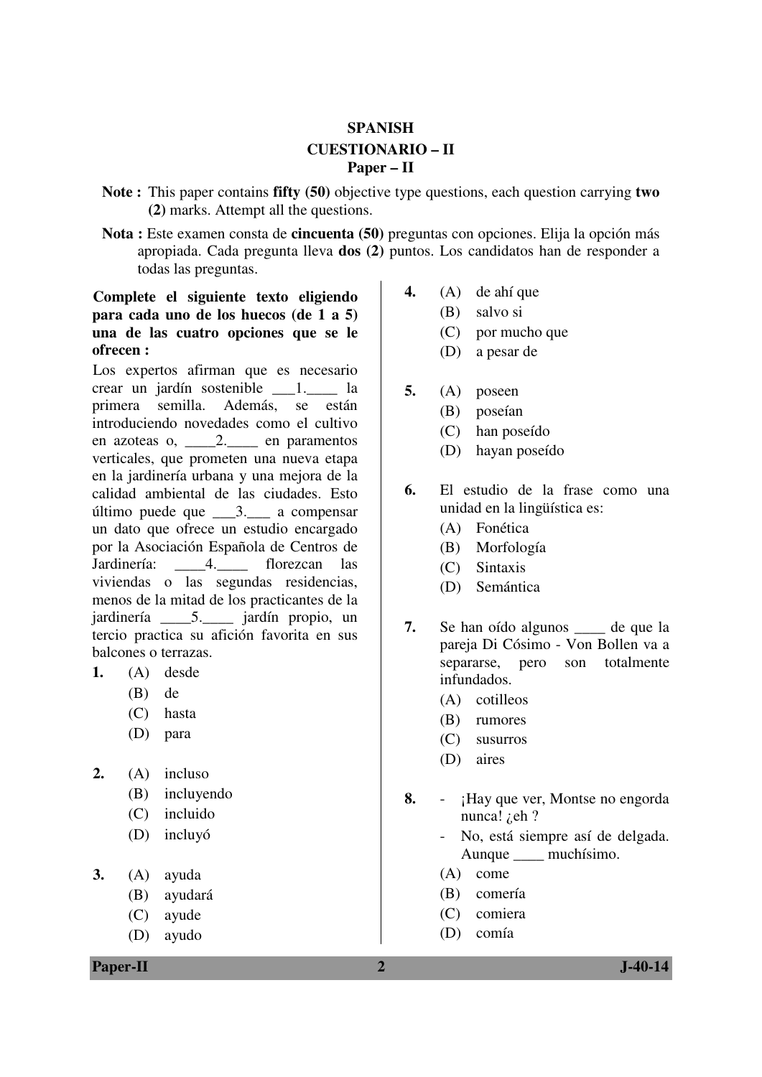## **SPANISH CUESTIONARIO – II Paper – II**

- **Note :** This paper contains **fifty (50)** objective type questions, each question carrying **two (2)** marks. Attempt all the questions.
- **Nota :** Este examen consta de **cincuenta (50)** preguntas con opciones. Elija la opción más apropiada. Cada pregunta lleva **dos (2)** puntos. Los candidatos han de responder a todas las preguntas.

### **Complete el siguiente texto eligiendo para cada uno de los huecos (de 1 a 5) una de las cuatro opciones que se le ofrecen :**

Los expertos afirman que es necesario crear un jardín sostenible \_\_\_1.\_\_\_\_ la primera semilla. Además, se están introduciendo novedades como el cultivo en azoteas o, \_\_\_\_2.\_\_\_\_ en paramentos verticales, que prometen una nueva etapa en la jardinería urbana y una mejora de la calidad ambiental de las ciudades. Esto último puede que \_\_\_3.\_\_\_ a compensar un dato que ofrece un estudio encargado por la Asociación Española de Centros de Jardinería: \_\_\_\_4.\_\_\_\_ florezcan las viviendas o las segundas residencias, menos de la mitad de los practicantes de la jardinería \_\_\_\_5.\_\_\_\_ jardín propio, un tercio practica su afición favorita en sus balcones o terrazas.

- **1.** (A) desde
	- (B) de
	- (C) hasta
	- (D) para
- **2.** (A) incluso
	- (B) incluyendo
	- (C) incluido
	- (D) incluyó
- **3.** (A) ayuda
	- (B) ayudará
	- (C) ayude
	- (D) ayudo

**Paper-II 2 J-40-14** 

- **4.** (A) de ahí que
	- (B) salvo si
	- (C) por mucho que
	- (D) a pesar de
- **5.** (A) poseen
	- (B) poseían
	- (C) han poseído
	- (D) hayan poseído
- **6.** El estudio de la frase como una unidad en la lingüística es:
	- (A) Fonética
	- (B) Morfología
	- (C) Sintaxis
	- (D) Semántica
- **7.** Se han oído algunos de que la pareja Di Cósimo - Von Bollen va a separarse, pero son totalmente infundados.
	- (A) cotilleos
	- (B) rumores
	- (C) susurros
	- (D) aires
- **8.** ¡Hay que ver, Montse no engorda nunca! *i*, eh?
	- No, está siempre así de delgada. Aunque \_\_\_\_ muchísimo.
	- (A) come
	- (B) comería
	- (C) comiera
	- (D) comía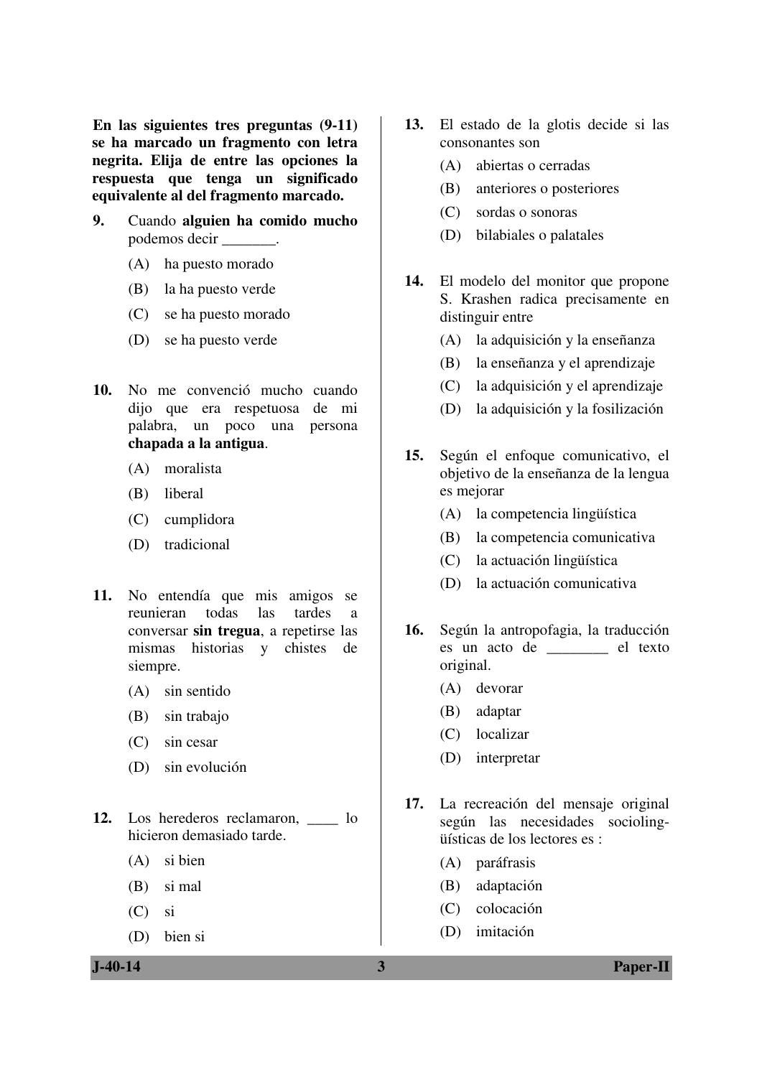**En las siguientes tres preguntas (9-11) se ha marcado un fragmento con letra negrita. Elija de entre las opciones la respuesta que tenga un significado equivalente al del fragmento marcado.** 

- **9.** Cuando **alguien ha comido mucho** podemos decir \_\_\_\_\_\_\_.
	- (A) ha puesto morado
	- (B) la ha puesto verde
	- (C) se ha puesto morado
	- (D) se ha puesto verde
- **10.** No me convenció mucho cuando dijo que era respetuosa de mi palabra, un poco una persona **chapada a la antigua**.
	- (A) moralista
	- (B) liberal
	- (C) cumplidora
	- (D) tradicional
- **11.** No entendía que mis amigos se reunieran todas las tardes a conversar **sin tregua**, a repetirse las mismas historias y chistes de siempre.
	- (A) sin sentido
	- (B) sin trabajo
	- (C) sin cesar
	- (D) sin evolución
- 12. Los herederos reclamaron, lo hicieron demasiado tarde.
	- (A) si bien
	- (B) si mal
	- (C) si
	- (D) bien si
- **13.** El estado de la glotis decide si las consonantes son
	- (A) abiertas o cerradas
	- (B) anteriores o posteriores
	- (C) sordas o sonoras
	- (D) bilabiales o palatales
- **14.** El modelo del monitor que propone S. Krashen radica precisamente en distinguir entre
	- (A) la adquisición y la enseñanza
	- (B) la enseñanza y el aprendizaje
	- (C) la adquisición y el aprendizaje
	- (D) la adquisición y la fosilización
- **15.** Según el enfoque comunicativo, el objetivo de la enseñanza de la lengua es mejorar
	- (A) la competencia lingüística
	- (B) la competencia comunicativa
	- (C) la actuación lingüística
	- (D) la actuación comunicativa
- **16.** Según la antropofagia, la traducción es un acto de \_\_\_\_\_\_\_\_ el texto original.
	- (A) devorar
	- (B) adaptar
	- (C) localizar
	- (D) interpretar
- **17.** La recreación del mensaje original según las necesidades sociolingüísticas de los lectores es :
	- (A) paráfrasis
	- (B) adaptación
	- (C) colocación
	- (D) imitación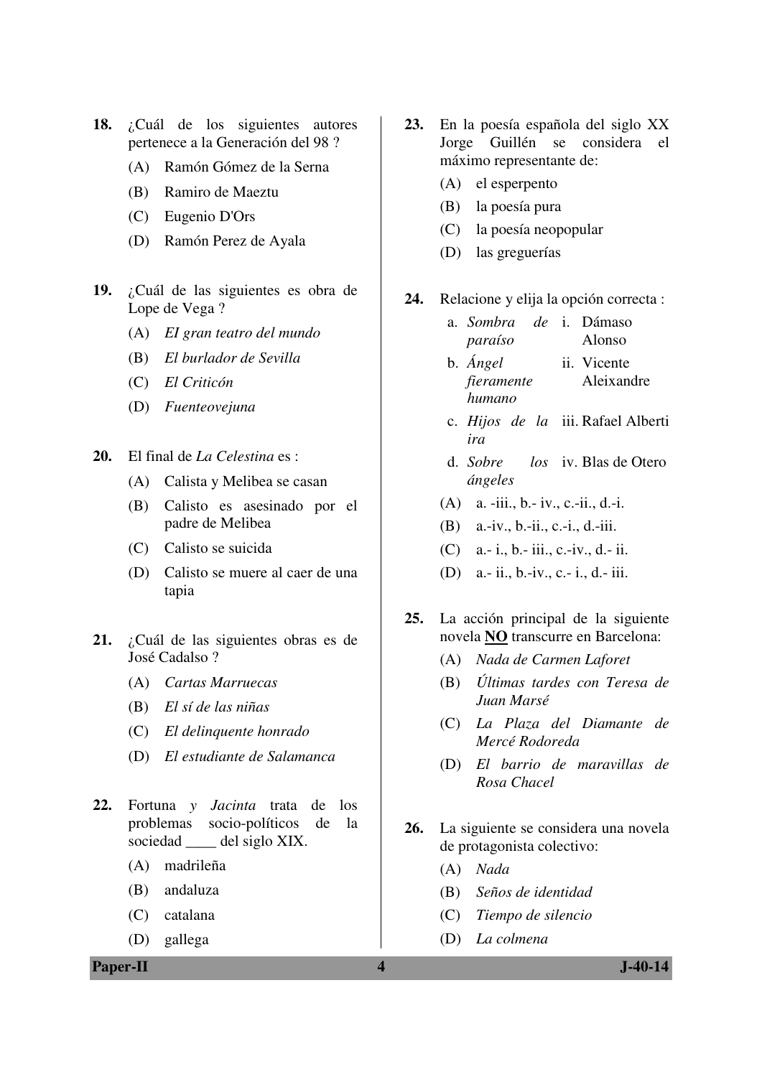- **18.** ¿Cuál de los siguientes autores pertenece a la Generación del 98 ?
	- (A) Ramón Gómez de la Serna
	- (B) Ramiro de Maeztu
	- (C) Eugenio D'Ors
	- (D) Ramón Perez de Ayala
- **19.** ¿Cuál de las siguientes es obra de Lope de Vega ?
	- (A) *EI gran teatro del mundo*
	- (B) *El burlador de Sevilla*
	- (C) *El Criticón*
	- (D) *Fuenteovejuna*
- **20.** El final de *La Celestina* es :
	- (A) Calista y Melibea se casan
	- (B) Calisto es asesinado por el padre de Melibea
	- (C) Calisto se suicida
	- (D) Calisto se muere al caer de una tapia
- **21.** ¿Cuál de las siguientes obras es de José Cadalso ?
	- (A) *Cartas Marruecas*
	- (B) *El sí de las niñas*
	- (C) *El delinquente honrado*
	- (D) *El estudiante de Salamanca*
- **22.** Fortuna *y Jacinta* trata de los problemas socio-políticos de la sociedad \_\_\_\_ del siglo XIX.
	- (A) madrileña
	- (B) andaluza
	- (C) catalana
	- (D) gallega

**Paper-II 1.40-14** 

- **23.** En la poesía española del siglo XX Jorge Guillén se considera el máximo representante de:
	- (A) el esperpento
	- (B) la poesía pura
	- (C) la poesía neopopular
	- (D) las greguerías

**24.** Relacione y elija la opción correcta :

- a. *Sombra paraíso* de i. Dámaso Alonso
- b. *Ángel fieramente humano* ii. Vicente Aleixandre
- c. *Hijos de la*  iii. Rafael Alberti *ira*
- d. *Sobre ángeles* los iv. Blas de Otero
- (A) a. -iii., b.- iv., c.-ii., d.-i.
- (B) a.-iv., b.-ii., c.-i., d.-iii.
- (C) a.- i., b.- iii., c.-iv., d.- ii.
- (D) a.- ii., b.-iv., c.- i., d.- iii.
- **25.** La acción principal de la siguiente novela **NO** transcurre en Barcelona:
	- (A) *Nada de Carmen Laforet*
	- (B) *Últimas tardes con Teresa de Juan Marsé*
	- (C) *La Plaza del Diamante de Mercé Rodoreda*
	- (D) *El barrio de maravillas de Rosa Chacel*
- **26.** La siguiente se considera una novela de protagonista colectivo:
	- (A) *Nada*
	- (B) *Seños de identidad*
	- (C) *Tiempo de silencio*
	- (D) *La colmena*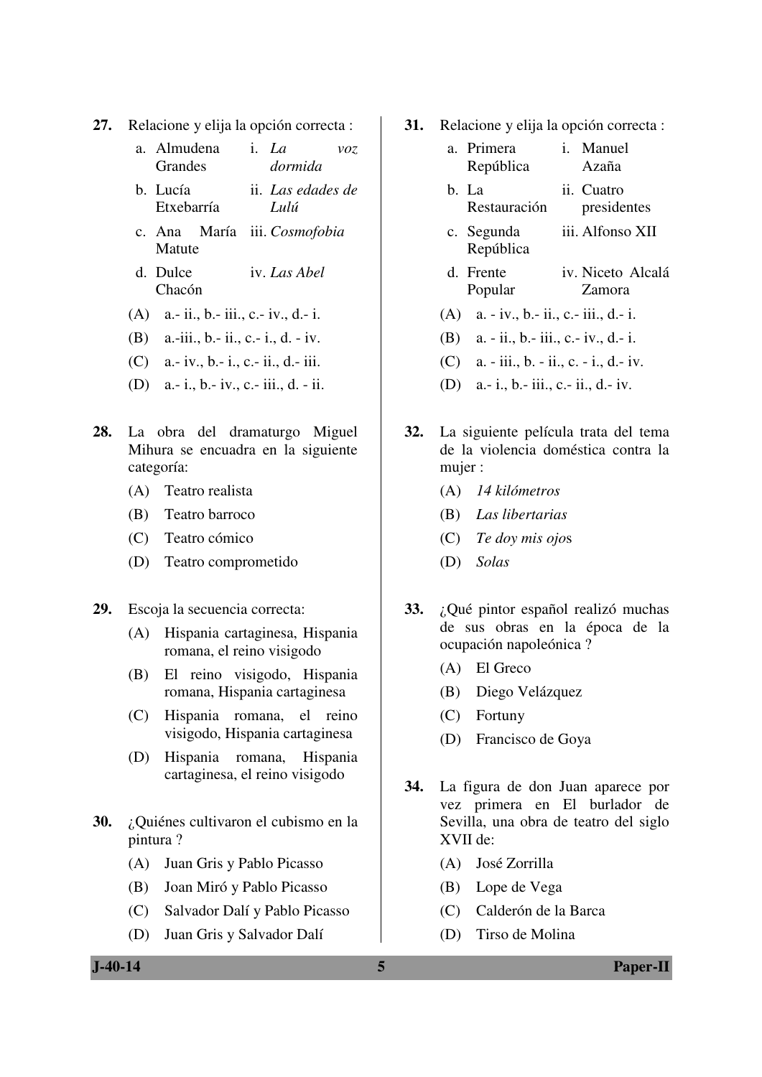- **27.** Relacione y elija la opción correcta :
	- a. Almudena **Grandes** i. *La voz dormida*
	- b. Lucía Etxebarría ii. *Las edades de Lulú*
	- c. Ana María iii. *Cosmofobia* Matute
	- d. Dulce Chacón iv. *Las Abel*
	- (A) a.- ii., b.- iii., c.- iv., d.- i.
	- (B) a.-iii., b.- ii., c.- i., d. iv.
	- (C) a.- iv., b.- i., c.- ii., d.- iii.
	- (D) a.- i., b.- iv., c.- iii., d. ii.
- **28.** La obra del dramaturgo Miguel Mihura se encuadra en la siguiente categoría:
	- (A) Teatro realista
	- (B) Teatro barroco
	- (C) Teatro cómico
	- (D) Teatro comprometido
- **29.** Escoja la secuencia correcta:
	- (A) Hispania cartaginesa, Hispania romana, el reino visigodo
	- (B) El reino visigodo, Hispania romana, Hispania cartaginesa
	- (C) Hispania romana, el reino visigodo, Hispania cartaginesa
	- (D) Hispania romana, Hispania cartaginesa, el reino visigodo
- **30.** ¿Quiénes cultivaron el cubismo en la pintura ?
	- (A) Juan Gris y Pablo Picasso
	- (B) Joan Miró y Pablo Picasso
	- (C) Salvador Dalí y Pablo Picasso
	- (D) Juan Gris y Salvador Dalí
- **31.** Relacione y elija la opción correcta :
	- a. Primera República i. Manuel Azaña b. La ii. Cuatro
	- Restauración presidentes
	- c. Segunda República iii. Alfonso XII
	- d. Frente Popular iv. Niceto Alcalá Zamora
	- (A) a. iv., b.- ii., c.- iii., d.- i.
	- (B) a. ii., b.- iii., c.- iv., d.- i.
	- (C) a. iii., b. ii., c. i., d.- iv.
	- (D) a.- i., b.- iii., c.- ii., d.- iv.
- **32.** La siguiente película trata del tema de la violencia doméstica contra la mujer :
	- (A) *14 kilómetros*
	- (B) *Las libertarias*
	- (C) *Te doy mis ojo*s
	- (D) *Solas*
- **33.** ¿Qué pintor español realizó muchas de sus obras en la época de la ocupación napoleónica ?
	- (A) El Greco
	- (B) Diego Velázquez
	- (C) Fortuny
	- (D) Francisco de Goya
- **34.** La figura de don Juan aparece por vez primera en El burlador de Sevilla, una obra de teatro del siglo XVII de:
	- (A) José Zorrilla
	- (B) Lope de Vega
	- (C) Calderón de la Barca
	- (D) Tirso de Molina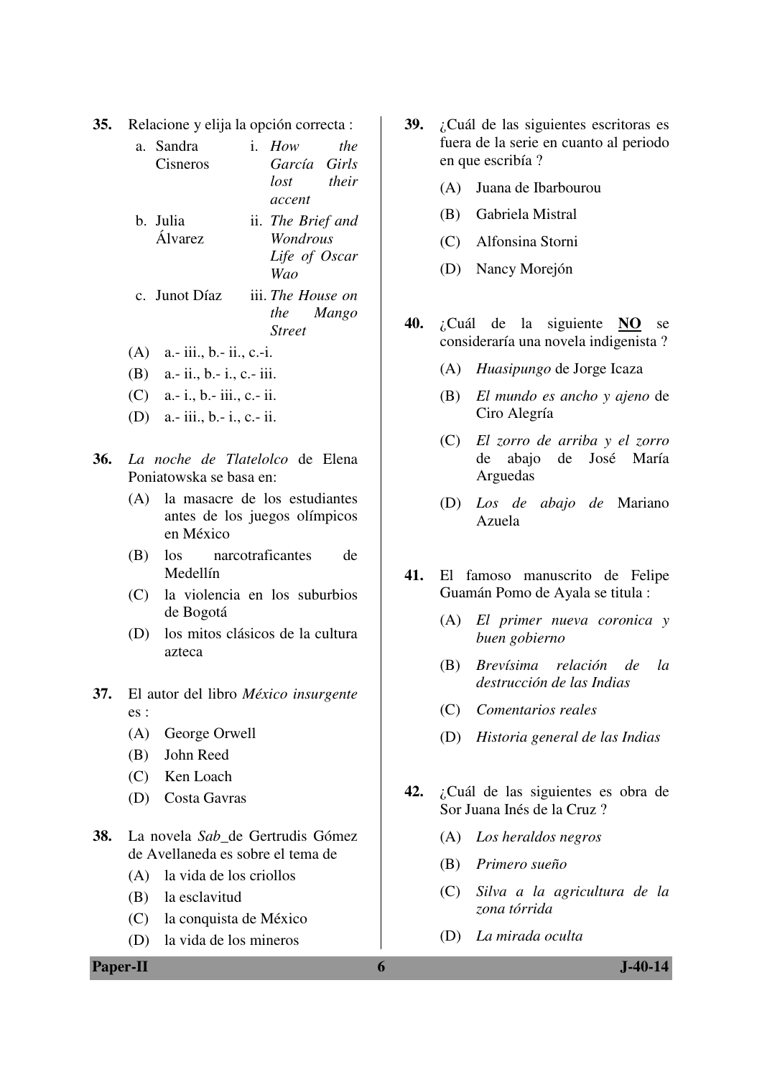**35.** Relacione y elija la opción correcta :

| a. Sandra       | i $How$           | the   |
|-----------------|-------------------|-------|
| Cisneros        | García Girls      |       |
|                 | lost              | their |
|                 | accent            |       |
| b. Julia        | ii. The Brief and |       |
| <b>Á</b> lvarez | <i>Wondrous</i>   |       |
|                 | Life of Oscar     |       |
|                 | Wao               |       |
| c. Junot Díaz   | iii. The House on |       |
|                 | the Mango         |       |
|                 | <b>Street</b>     |       |

- (A) a.- iii., b.- ii., c.-i.
- (B) a.- ii., b.- i., c.- iii.
- (C) a.- i., b.- iii., c.- ii.
- (D) a.- iii., b.- i., c.- ii.
- **36.** *La noche de Tlatelolco* de Elena Poniatowska se basa en:
	- (A) la masacre de los estudiantes antes de los juegos olímpicos en México
	- (B) los narcotraficantes de Medellín
	- (C) la violencia en los suburbios de Bogotá
	- (D) los mitos clásicos de la cultura azteca
- **37.** El autor del libro *México insurgente* es :
	- (A) George Orwell
	- (B) John Reed
	- (C) Ken Loach
	- (D) Costa Gavras
- **38.** La novela *Sab*\_de Gertrudis Gómez de Avellaneda es sobre el tema de
	- (A) la vida de los criollos
	- (B) la esclavitud
	- (C) la conquista de México
	- (D) la vida de los mineros
- **39.** ¿Cuál de las siguientes escritoras es fuera de la serie en cuanto al periodo en que escribía ?
	- (A) Juana de Ibarbourou
	- (B) Gabriela Mistral
	- (C) Alfonsina Storni
	- (D) Nancy Morejón
- **40.** ¿Cuál de la siguiente **NO** se consideraría una novela indigenista ?
	- (A) *Huasipungo* de Jorge Icaza
	- (B) *El mundo es ancho y ajeno* de Ciro Alegría
	- (C) *El zorro de arriba y el zorro* de abajo de José María Arguedas
	- (D) *Los de abajo de* Mariano Azuela
- **41.** El famoso manuscrito de Felipe Guamán Pomo de Ayala se titula :
	- (A) *El primer nueva coronica y buen gobierno*
	- (B) *Brevísima relación de la destrucción de las Indias*
	- (C) *Comentarios reales*
	- (D) *Historia general de las Indias*
- **42.** ¿Cuál de las siguientes es obra de Sor Juana Inés de la Cruz ?
	- (A) *Los heraldos negros*
	- (B) *Primero sueño*
	- (C) *Silva a la agricultura de la zona tórrida*
	- (D) *La mirada oculta*

#### **Paper-II 6 J-40-14**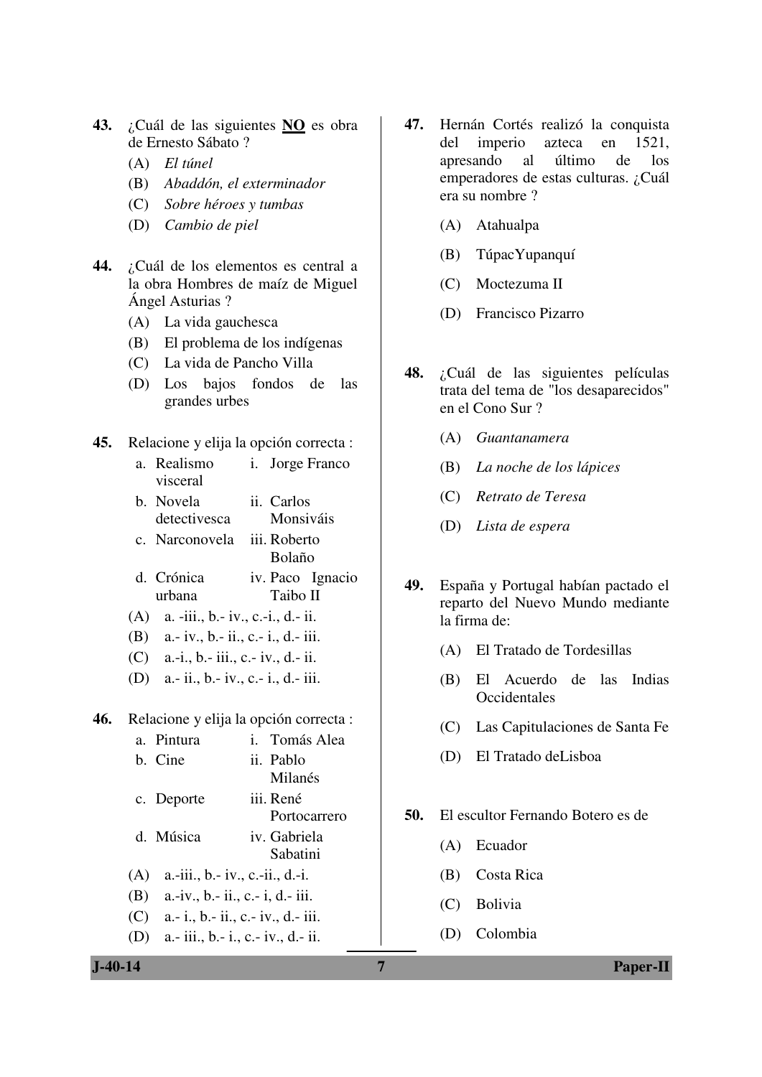- **43.** ¿Cuál de las siguientes **NO** es obra de Ernesto Sábato ?
	- (A) *El túnel*
	- (B) *Abaddón, el exterminador*
	- (C) *Sobre héroes y tumbas*
	- (D) *Cambio de piel*
- **44.** ¿Cuál de los elementos es central a la obra Hombres de maíz de Miguel Ángel Asturias ?
	- (A) La vida gauchesca
	- (B) El problema de los indígenas
	- (C) La vida de Pancho Villa
	- (D) Los bajos fondos de las grandes urbes
- **45.** Relacione y elija la opción correcta :
	- a. Realismo visceral i. Jorge Franco
	- b. Novela detectivesca ii. Carlos Monsiváis
	- c. Narconovela iii. Roberto Bolaño
	- d. Crónica urbana iv. Paco Ignacio Taibo II
	- (A) a. -iii., b.- iv., c.-i., d.- ii.
	- (B) a.- iv., b.- ii., c.- i., d.- iii.
	- (C) a.-i., b.- iii., c.- iv., d.- ii.
	- (D) a.- ii., b.- iv., c.- i., d.- iii.

**46.** Relacione y elija la opción correcta :

|     | a. Pintura                         | i. Tomás Alea |
|-----|------------------------------------|---------------|
|     | b. Cine                            | ii. Pablo     |
|     |                                    | Milanés       |
|     | c. Deporte                         | iii. René     |
|     |                                    | Portocarrero  |
|     | d. Música                          | iv. Gabriela  |
|     |                                    | Sabatini      |
| (A) | a.-iii., b.- iv., c.-ii., d.-i.    |               |
| (B) | a.-iv., b.- ii., c.- i, d.- iii.   |               |
| (C) | a.- i., b.- ii., c.- iv., d.- iii. |               |
| (D) | a.- iii., b.- i., c.- iv., d.- ii. |               |

- **47.** Hernán Cortés realizó la conquista del imperio azteca en 1521, apresando al último de los emperadores de estas culturas. ¿Cuál era su nombre ?
	- (A) Atahualpa
	- (B) TúpacYupanquí
	- (C) Moctezuma II
	- (D) Francisco Pizarro
- **48.** ¿Cuál de las siguientes películas trata del tema de "los desaparecidos" en el Cono Sur ?
	- (A) *Guantanamera*
	- (B) *La noche de los lápices*
	- (C) *Retrato de Teresa*
	- (D) *Lista de espera*
- **49.** España y Portugal habían pactado el reparto del Nuevo Mundo mediante la firma de:
	- (A) El Tratado de Tordesillas
	- (B) El Acuerdo de las Indias **Occidentales**
	- (C) Las Capitulaciones de Santa Fe
	- (D) El Tratado deLisboa
- **50.** El escultor Fernando Botero es de
	- (A) Ecuador
	- (B) Costa Rica
	- (C) Bolivia
	- (D) Colombia